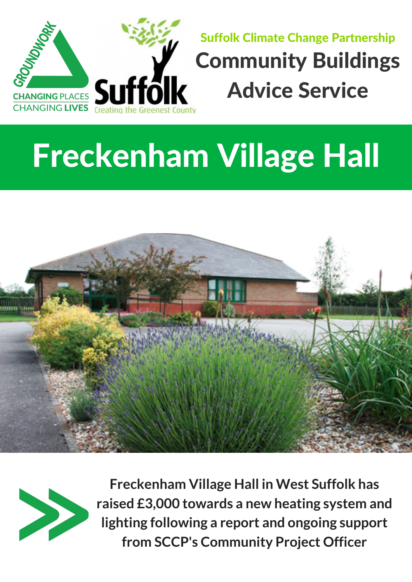

## Freckenham Village Hall





**Freckenham Village Hall in West Suffolk has raised £3,000 towards a new heating system and lighting following a report and ongoing support from SCCP's Community Project Officer**